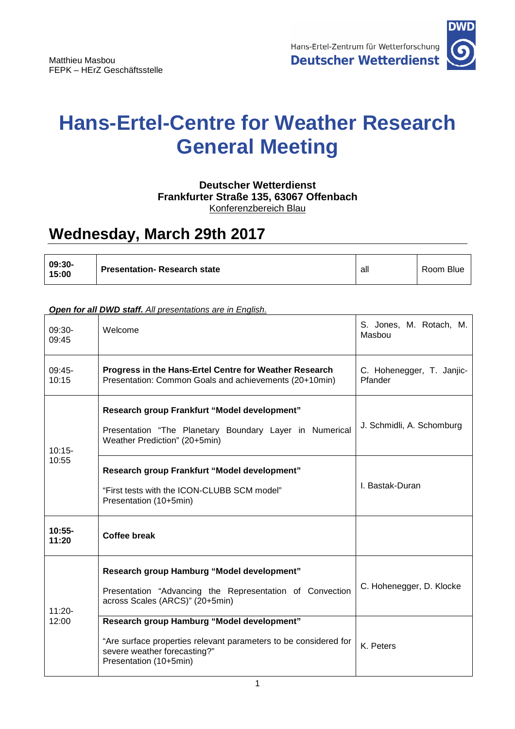

## **Hans-Ertel-Centre for Weather Research General Meeting**

## **Deutscher Wetterdienst Frankfurter Straße 135, 63067 Offenbach**  Konferenzbereich Blau

## **Wednesday, March 29th 2017**

| 09:30-<br>15:00 | <b>Presentation- Research state</b> | all | Room Blue |
|-----------------|-------------------------------------|-----|-----------|
|-----------------|-------------------------------------|-----|-----------|

## **Open for all DWD staff.** All presentations are in English.

| $09:30-$<br>09:45  | Welcome                                                                                                                                                                  | S. Jones, M. Rotach, M.<br>Masbou    |  |
|--------------------|--------------------------------------------------------------------------------------------------------------------------------------------------------------------------|--------------------------------------|--|
| $09:45-$<br>10:15  | Progress in the Hans-Ertel Centre for Weather Research<br>Presentation: Common Goals and achievements (20+10min)                                                         | C. Hohenegger, T. Janjic-<br>Pfander |  |
| $10:15-$<br>10:55  | Research group Frankfurt "Model development"<br>Presentation "The Planetary Boundary Layer in Numerical<br>Weather Prediction" (20+5min)                                 | J. Schmidli, A. Schomburg            |  |
|                    | Research group Frankfurt "Model development"<br>"First tests with the ICON-CLUBB SCM model"<br>Presentation (10+5min)                                                    | I. Bastak-Duran                      |  |
| $10:55 -$<br>11:20 | <b>Coffee break</b>                                                                                                                                                      |                                      |  |
| $11:20 -$<br>12:00 | Research group Hamburg "Model development"<br>Presentation "Advancing the Representation of Convection<br>across Scales (ARCS)" (20+5min)                                | C. Hohenegger, D. Klocke             |  |
|                    | Research group Hamburg "Model development"<br>"Are surface properties relevant parameters to be considered for<br>severe weather forecasting?"<br>Presentation (10+5min) | K. Peters                            |  |